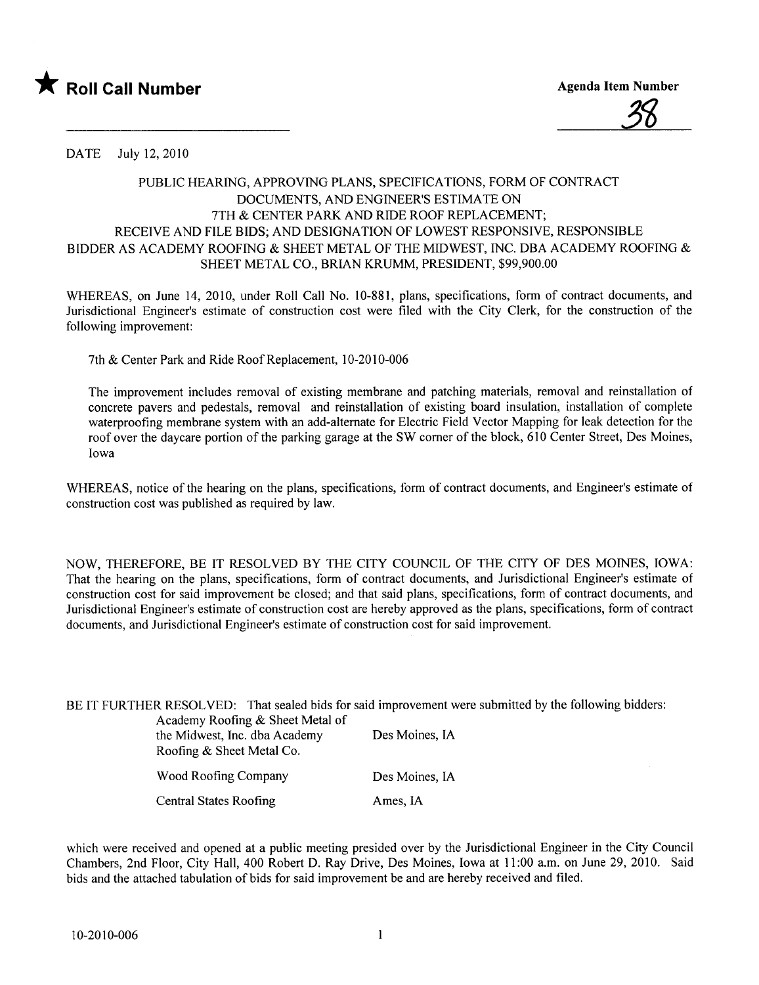

DATE July 12,2010

## PUBLIC HEARING, APPROVING PLANS, SPECIFICATIONS, FORM OF CONTRACT DOCUMENTS, AND ENGINEER'S ESTIMATE ON 7TH & CENTER PARK AND RIDE ROOF REPLACEMENT; RECEIVE AND FILE BIDS; AND DESIGNATION OF LOWEST RESPONSIVE, RESPONSIBLE BIDDER AS ACADEMY ROOFING & SHEET METAL OF THE MIDWEST, INC. DBA ACADEMY ROOFING  $\&$ SHEET METAL CO., BRIAN KRUMM, PRESIDENT, \$99,900.00

WHEREAS, on June 14, 2010, under Roll Call No. 10-881, plans, specifications, form of contract documents, and Jurisdictional Engineer's estimate of construction cost were fied with the City Clerk, for the construction of the following improvement:

7th & Center Park and Ride Roof Replacement, 10-2010-006

The improvement includes removal of existing membrane and patching materials, removal and reinstallation of concrete pavers and pedestals, removal and reinstallation of existing board insulation, installation of complete waterproofing membrane system with an add-alternate for Electric Field Vector Mapping for leak detection for the roof over the daycare portion of the parking garage at the SW comer of the block, 610 Center Street, Des Moines, Iowa

WHEREAS, notice of the hearing on the plans, specifications, form of contract documents, and Engineer's estimate of construction cost was published as required by law.

NOW, THEREFORE, BE IT RESOLVED BY THE CITY COUNCIL OF THE CITY OF DES MOINS, IOWA: That the hearing on the plans, specifications, form of contract documents, and Jurisdictional Engineer's estimate of construction cost for said improvement be closed; and that said plans, specifications, form of contract documents, and Jurisdictional Engineer's estimate of construction cost are hereby approved as the plans, specifications, form of contract documents, and Jurisdictional Engineer's estimate of construction cost for said improvement.

| Academy Roofing & Sheet Metal of<br>the Midwest, Inc. dba Academy<br>Roofing & Sheet Metal Co. | BE IT FURTHER RESOLVED: That sealed bids for said improvement were submitted by the following bidders:<br>Des Moines, IA |
|------------------------------------------------------------------------------------------------|--------------------------------------------------------------------------------------------------------------------------|
| Wood Roofing Company                                                                           | Des Moines, IA                                                                                                           |
| <b>Central States Roofing</b>                                                                  | Ames, IA                                                                                                                 |

which were received and opened at a public meeting presided over by the Jurisdictional Engineer in the City Council Chambers, 2nd Floor, City Hall, 400 Robert D. Ray Drive, Des Moines, Iowa at 11 :00 a.m. on June 29, 2010. Said bids and the attached tabulation of bids for said improvement be and are hereby received and fied.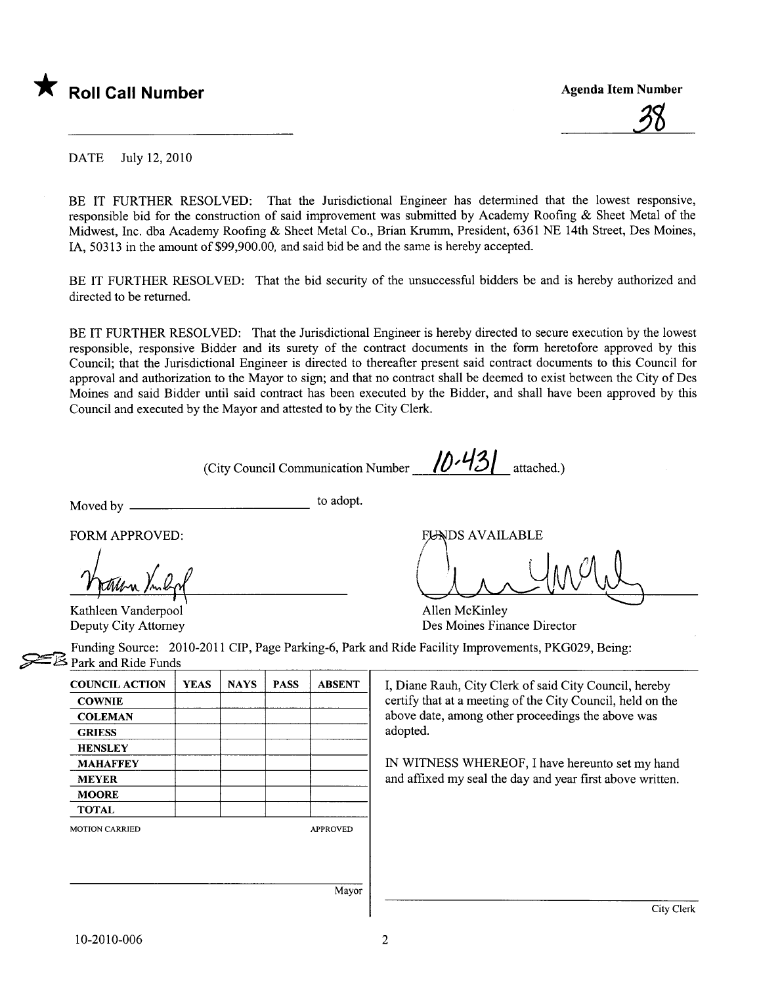



DATE July 12,2010

BE IT FURTHER RESOLVED: That the Jurisdictional Engineer has determined that the lowest responsive, responsible bid for the construction of said improvement was submitted by Academy Roofing & Sheet Metal of the Midwest, Inc. dba Academy Roofing & Sheet Metal Co., Brian Krmm, President, 6361 NE 14th Street, Des Moines, lA, 50313 in the amount of \$99,900.00, and said bid be and the same is hereby accepted.

BE IT FURTHER RESOLVED: That the bid security of the unsuccessful bidders be and is hereby authorized and directed to be returned.

BE IT FURTHER RESOLVED: That the Jurisdictional Engineer is hereby directed to secure execution by the lowest responsible, responsive Bidder and its surety of the contract documents in the form heretofore approved by this Council; that the Jurisdictional Engineer is directed to thereafter present said contract documents to this Council for approval and authorization to the Mayor to sign; and that no contract shall be deemed to exist between the City of Des Moines and said Bidder until said contract has been executed by the Bidder, and shall have been approved by this Council and executed by the Mayor and attested to by the City Clerk.

(City Council Communication Number  $10·13$  attached.)

Moved by to adopt.

FORM APPROVED:

FORM APPROVED:<br>
Man / l<sub>p</sub><br>
Kathleen Vanderpool Allen McKinley

Deputy City Attorney **Des Moines Finance Director** 

Funding Source: 2010-2011 CIP, Page Parking-6, Park and Ride Facility Improvements, PKG029, Being:  $\leq$  Park and Ride Funds

| <b>COUNCIL ACTION</b> | <b>YEAS</b> | <b>NAYS</b> | <b>PASS</b> | <b>ABSENT</b>   |
|-----------------------|-------------|-------------|-------------|-----------------|
| <b>COWNIE</b>         |             |             |             |                 |
| <b>COLEMAN</b>        |             |             |             |                 |
| <b>GRIESS</b>         |             |             |             |                 |
| <b>HENSLEY</b>        |             |             |             |                 |
| <b>MAHAFFEY</b>       |             |             |             |                 |
| <b>MEYER</b>          |             |             |             |                 |
| <b>MOORE</b>          |             |             |             |                 |
| <b>TOTAL</b>          |             |             |             |                 |
| <b>MOTION CARRIED</b> |             |             |             | <b>APPROVED</b> |
|                       |             |             |             |                 |
|                       |             |             |             |                 |
|                       |             |             |             |                 |
|                       |             |             |             | Mayor           |

I, Diane Rauh, City Clerk of said City Council, hereby certify that at a meeting of the City Council, held on the above date, among other proceedings the above was adopted.

IN WITNESS WHEREOF, I have hereunto set my hand and affixed my seal the day and year first above written.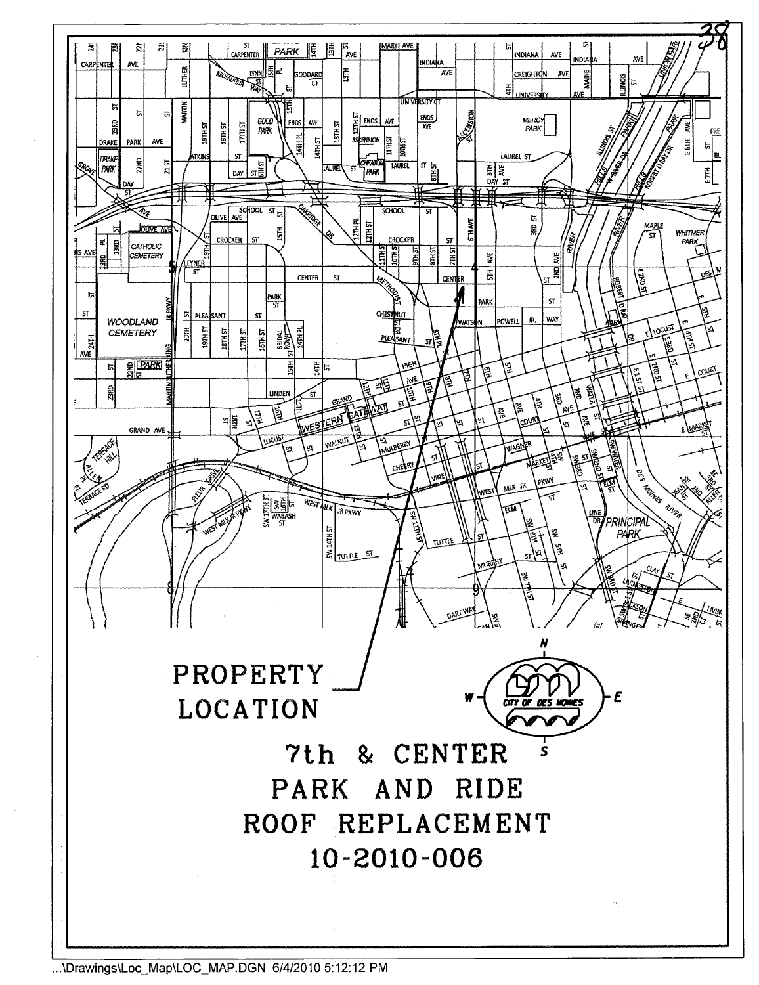